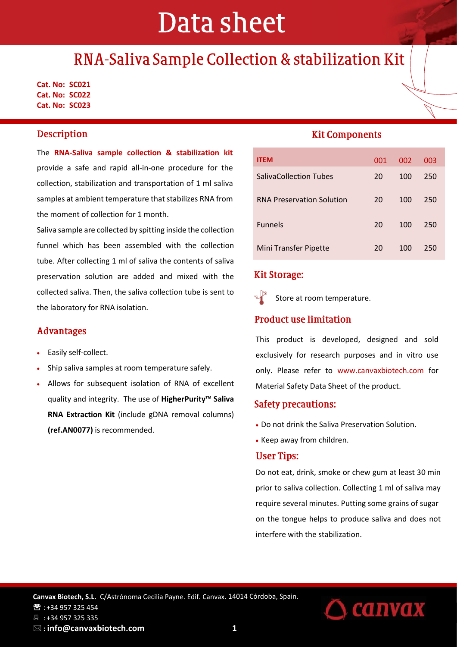# Data sheet

# RNA-Saliva Sample Collection & stabilization Kit

**Cat. No: SC021 Cat. No: SC022 Cat. No: SC023**

### **Description**

The **RNA-Saliva sample collection & stabilization kit** provide a safe and rapid all-in-one procedure for the collection, stabilization and transportation of 1 ml saliva samples at ambient temperature that stabilizes RNA from the moment of collection for 1 month.

Saliva sample are collected by spitting inside the collection funnel which has been assembled with the collection tube. After collecting 1 ml of saliva the contents of saliva preservation solution are added and mixed with the collected saliva. Then, the saliva collection tube is sent to the laboratory for RNA isolation.

#### **Advantages**

- Easily self-collect.
- Ship saliva samples at room temperature safely.
- Allows for subsequent isolation of RNA of excellent quality and integrity. The use of **HigherPurity™ Saliva RNA Extraction Kit** (include gDNA removal columns) **(ref.AN0077)** is recommended.

### **Kit Components**

| <b>ITEM</b>                      | 001 | 002 | 003 |
|----------------------------------|-----|-----|-----|
| <b>SalivaCollection Tubes</b>    | 20  | 100 | 250 |
| <b>RNA Preservation Solution</b> | 20  | 100 | 250 |
| <b>Funnels</b>                   | 20  | 100 | 250 |
| Mini Transfer Pipette            | 20  | 100 | 250 |

### **Kit Storage:**

Store at room temperature.

#### **Product use limitation**

This product is developed, designed and sold exclusively for research purposes and in vitro use only. Please refer to www.canvaxbiotech.com for Material Safety Data Sheet of the product.

#### **Safety precautions:**

- Do not drink the Saliva Preservation Solution.
- Keep away from children.

#### **User Tips:**

Do not eat, drink, smoke or chew gum at least 30 min prior to saliva collection. Collecting 1 ml of saliva may require several minutes. Putting some grains of sugar on the tongue helps to produce saliva and does not interfere with the stabilization.